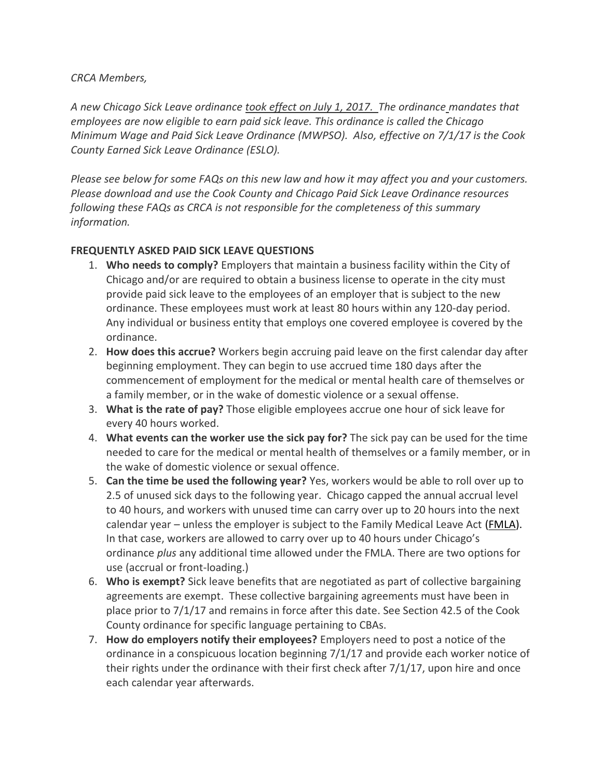*CRCA Members,*

*A new Chicago Sick Leave ordinance took effect on July 1, 2017. The ordinance mandates that employees are now eligible to earn paid sick leave. This ordinance is called the Chicago Minimum Wage and Paid Sick Leave Ordinance (MWPSO). Also, effective on 7/1/17 is the Cook County Earned Sick Leave Ordinance (ESLO).* 

*Please see below for some FAQs on this new law and how it may affect you and your customers. Please download and use the Cook County and Chicago Paid Sick Leave Ordinance resources following these FAQs as CRCA is not responsible for the completeness of this summary information.*

## **FREQUENTLY ASKED PAID SICK LEAVE QUESTIONS**

- 1. **Who needs to comply?** Employers that maintain a business facility within the City of Chicago and/or are required to obtain a business license to operate in the city must provide paid sick leave to the employees of an employer that is subject to the new ordinance. These employees must work at least 80 hours within any 120-day period. Any individual or business entity that employs one covered employee is covered by the ordinance.
- 2. **How does this accrue?** Workers begin accruing paid leave on the first calendar day after beginning employment. They can begin to use accrued time 180 days after the commencement of employment for the medical or mental health care of themselves or a family member, or in the wake of domestic violence or a sexual offense.
- 3. **What is the rate of pay?** Those eligible employees accrue one hour of sick leave for every 40 hours worked.
- 4. **What events can the worker use the sick pay for?** The sick pay can be used for the time needed to care for the medical or mental health of themselves or a family member, or in the wake of domestic violence or sexual offence.
- 5. **Can the time be used the following year?** Yes, workers would be able to roll over up to 2.5 of unused sick days to the following year. Chicago capped the annual accrual level to 40 hours, and workers with unused time can carry over up to 20 hours into the next calendar year – unless the employer is subject to the Family Medical Leave Act [\(FMLA\)](https://www.dol.gov/whd/fmla/). In that case, workers are allowed to carry over up to 40 hours under Chicago's ordinance *plus* any additional time allowed under the FMLA. There are two options for use (accrual or front-loading.)
- 6. **Who is exempt?** Sick leave benefits that are negotiated as part of collective bargaining agreements are exempt. These collective bargaining agreements must have been in place prior to 7/1/17 and remains in force after this date. See Section 42.5 of the Cook County ordinance for specific language pertaining to CBAs.
- 7. **How do employers notify their employees?** Employers need to post a notice of the ordinance in a conspicuous location beginning 7/1/17 and provide each worker notice of their rights under the ordinance with their first check after 7/1/17, upon hire and once each calendar year afterwards.